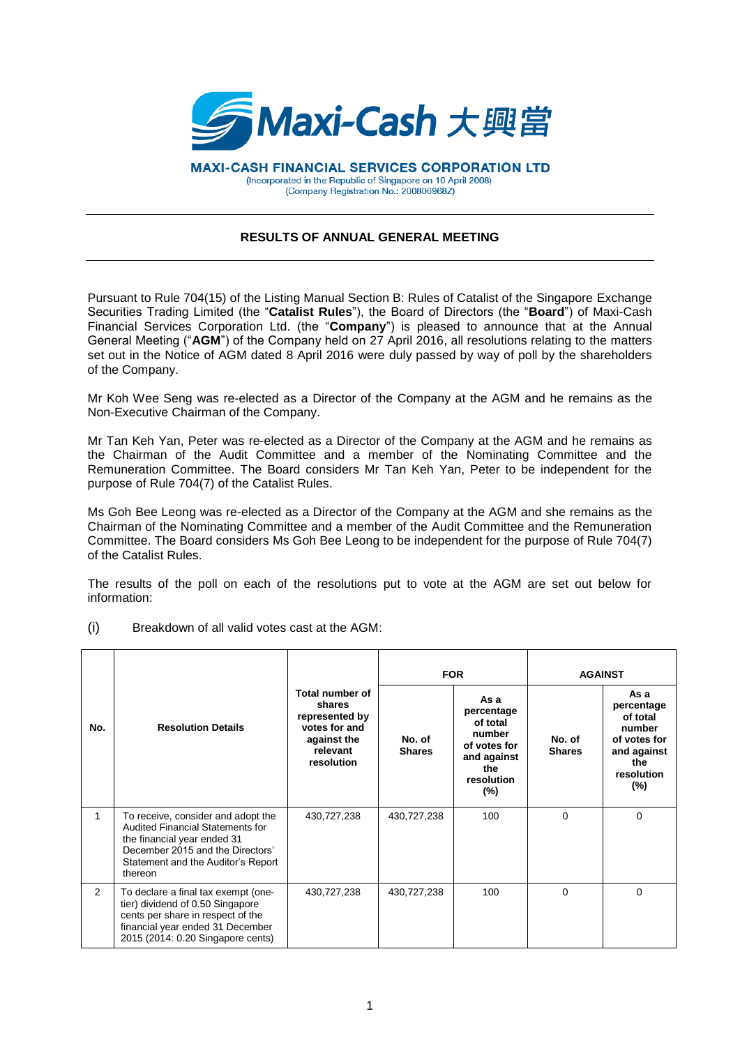

**MAXI-CASH FINANCIAL SERVICES CORPORATION LTD** (Incorporated in the Republic of Singapore on 10 April 2008) (Company Registration No.: 200806968Z)

## **RESULTS OF ANNUAL GENERAL MEETING**

Pursuant to Rule 704(15) of the Listing Manual Section B: Rules of Catalist of the Singapore Exchange Securities Trading Limited (the "**Catalist Rules**"), the Board of Directors (the "**Board**") of Maxi-Cash Financial Services Corporation Ltd. (the "**Company**") is pleased to announce that at the Annual General Meeting ("**AGM**") of the Company held on 27 April 2016, all resolutions relating to the matters set out in the Notice of AGM dated 8 April 2016 were duly passed by way of poll by the shareholders of the Company.

Mr Koh Wee Seng was re-elected as a Director of the Company at the AGM and he remains as the Non-Executive Chairman of the Company.

Mr Tan Keh Yan, Peter was re-elected as a Director of the Company at the AGM and he remains as the Chairman of the Audit Committee and a member of the Nominating Committee and the Remuneration Committee. The Board considers Mr Tan Keh Yan, Peter to be independent for the purpose of Rule 704(7) of the Catalist Rules.

Ms Goh Bee Leong was re-elected as a Director of the Company at the AGM and she remains as the Chairman of the Nominating Committee and a member of the Audit Committee and the Remuneration Committee. The Board considers Ms Goh Bee Leong to be independent for the purpose of Rule 704(7) of the Catalist Rules.

The results of the poll on each of the resolutions put to vote at the AGM are set out below for information:

|                |                                                                                                                                                                                            |                                                                                                       | <b>FOR</b>              |                                                                                                        | <b>AGAINST</b>          |                                                                                                        |
|----------------|--------------------------------------------------------------------------------------------------------------------------------------------------------------------------------------------|-------------------------------------------------------------------------------------------------------|-------------------------|--------------------------------------------------------------------------------------------------------|-------------------------|--------------------------------------------------------------------------------------------------------|
| No.            | <b>Resolution Details</b>                                                                                                                                                                  | Total number of<br>shares<br>represented by<br>votes for and<br>against the<br>relevant<br>resolution | No. of<br><b>Shares</b> | As a<br>percentage<br>of total<br>number<br>of votes for<br>and against<br>the<br>resolution<br>$(\%)$ | No. of<br><b>Shares</b> | As a<br>percentage<br>of total<br>number<br>of votes for<br>and against<br>the<br>resolution<br>$(\%)$ |
| 1              | To receive, consider and adopt the<br>Audited Financial Statements for<br>the financial year ended 31<br>December 2015 and the Directors'<br>Statement and the Auditor's Report<br>thereon | 430,727,238                                                                                           | 430,727,238             | 100                                                                                                    | $\Omega$                | 0                                                                                                      |
| $\overline{2}$ | To declare a final tax exempt (one-<br>tier) dividend of 0.50 Singapore<br>cents per share in respect of the<br>financial year ended 31 December<br>2015 (2014: 0.20 Singapore cents)      | 430,727,238                                                                                           | 430,727,238             | 100                                                                                                    | $\Omega$                | 0                                                                                                      |

(i) Breakdown of all valid votes cast at the AGM: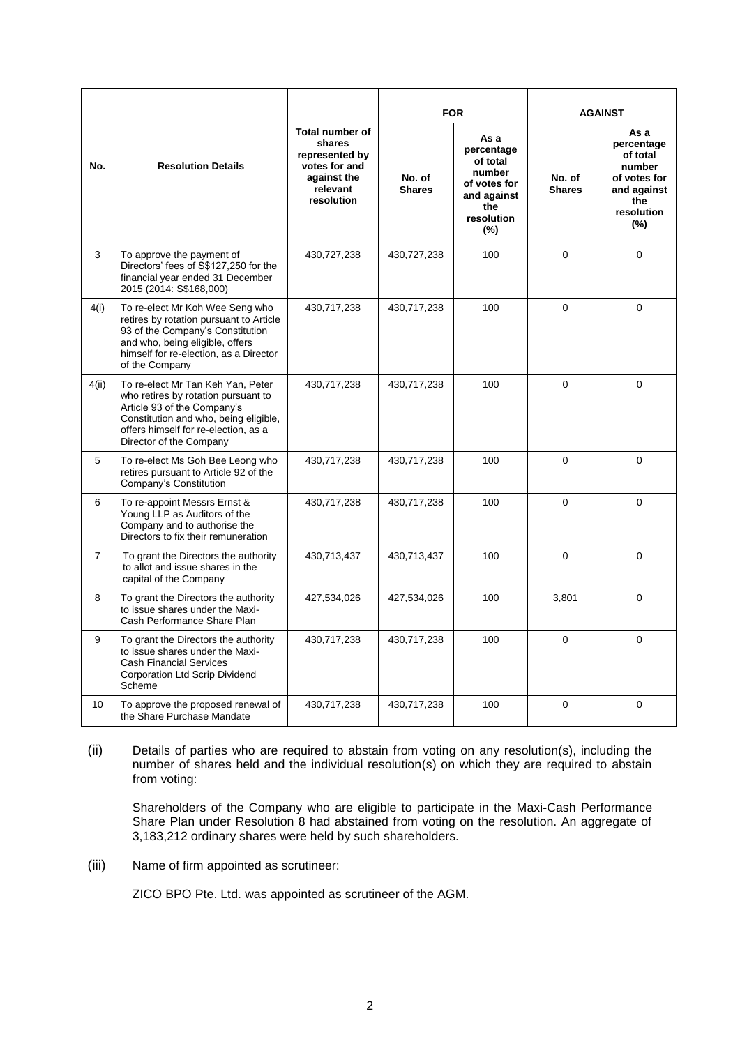| No.            | <b>Resolution Details</b>                                                                                                                                                                                           | <b>Total number of</b><br>shares<br>represented by<br>votes for and<br>against the<br>relevant<br>resolution | <b>FOR</b>              |                                                                                                        | <b>AGAINST</b>          |                                                                                                        |
|----------------|---------------------------------------------------------------------------------------------------------------------------------------------------------------------------------------------------------------------|--------------------------------------------------------------------------------------------------------------|-------------------------|--------------------------------------------------------------------------------------------------------|-------------------------|--------------------------------------------------------------------------------------------------------|
|                |                                                                                                                                                                                                                     |                                                                                                              | No. of<br><b>Shares</b> | As a<br>percentage<br>of total<br>number<br>of votes for<br>and against<br>the<br>resolution<br>$(\%)$ | No. of<br><b>Shares</b> | As a<br>percentage<br>of total<br>number<br>of votes for<br>and against<br>the<br>resolution<br>$(\%)$ |
| 3              | To approve the payment of<br>Directors' fees of S\$127,250 for the<br>financial year ended 31 December<br>2015 (2014: S\$168,000)                                                                                   | 430,727,238                                                                                                  | 430,727,238             | 100                                                                                                    | 0                       | $\Omega$                                                                                               |
| 4(i)           | To re-elect Mr Koh Wee Seng who<br>retires by rotation pursuant to Article<br>93 of the Company's Constitution<br>and who, being eligible, offers<br>himself for re-election, as a Director<br>of the Company       | 430,717,238                                                                                                  | 430,717,238             | 100                                                                                                    | $\Omega$                | $\Omega$                                                                                               |
| 4(ii)          | To re-elect Mr Tan Keh Yan, Peter<br>who retires by rotation pursuant to<br>Article 93 of the Company's<br>Constitution and who, being eligible,<br>offers himself for re-election, as a<br>Director of the Company | 430,717,238                                                                                                  | 430,717,238             | 100                                                                                                    | $\Omega$                | $\Omega$                                                                                               |
| 5              | To re-elect Ms Goh Bee Leong who<br>retires pursuant to Article 92 of the<br>Company's Constitution                                                                                                                 | 430,717,238                                                                                                  | 430,717,238             | 100                                                                                                    | $\Omega$                | $\Omega$                                                                                               |
| 6              | To re-appoint Messrs Ernst &<br>Young LLP as Auditors of the<br>Company and to authorise the<br>Directors to fix their remuneration                                                                                 | 430,717,238                                                                                                  | 430,717,238             | 100                                                                                                    | $\mathbf 0$             | 0                                                                                                      |
| $\overline{7}$ | To grant the Directors the authority<br>to allot and issue shares in the<br>capital of the Company                                                                                                                  | 430,713,437                                                                                                  | 430,713,437             | 100                                                                                                    | $\Omega$                | $\Omega$                                                                                               |
| 8              | To grant the Directors the authority<br>to issue shares under the Maxi-<br>Cash Performance Share Plan                                                                                                              | 427,534,026                                                                                                  | 427,534,026             | 100                                                                                                    | 3,801                   | $\Omega$                                                                                               |
| 9              | To grant the Directors the authority<br>to issue shares under the Maxi-<br><b>Cash Financial Services</b><br>Corporation Ltd Scrip Dividend<br>Scheme                                                               | 430,717,238                                                                                                  | 430,717,238             | 100                                                                                                    | $\mathbf 0$             | 0                                                                                                      |
| 10             | To approve the proposed renewal of<br>the Share Purchase Mandate                                                                                                                                                    | 430,717,238                                                                                                  | 430,717,238             | 100                                                                                                    | $\Omega$                | 0                                                                                                      |

(ii) Details of parties who are required to abstain from voting on any resolution(s), including the number of shares held and the individual resolution(s) on which they are required to abstain from voting:

Shareholders of the Company who are eligible to participate in the Maxi-Cash Performance Share Plan under Resolution 8 had abstained from voting on the resolution. An aggregate of 3,183,212 ordinary shares were held by such shareholders.

(iii) Name of firm appointed as scrutineer:

ZICO BPO Pte. Ltd. was appointed as scrutineer of the AGM.